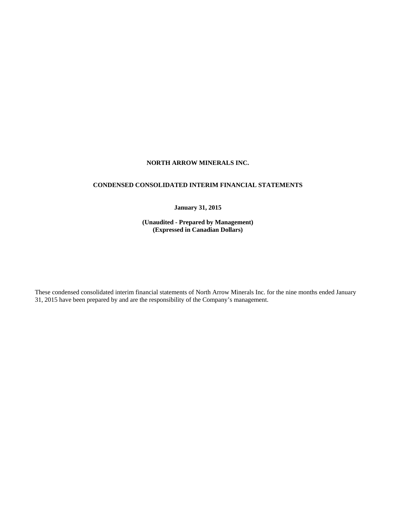# **NORTH ARROW MINERALS INC.**

# **CONDENSED CONSOLIDATED INTERIM FINANCIAL STATEMENTS**

# **January 31, 2015**

**(Unaudited - Prepared by Management) (Expressed in Canadian Dollars)** 

These condensed consolidated interim financial statements of North Arrow Minerals Inc. for the nine months ended January 31, 2015 have been prepared by and are the responsibility of the Company's management.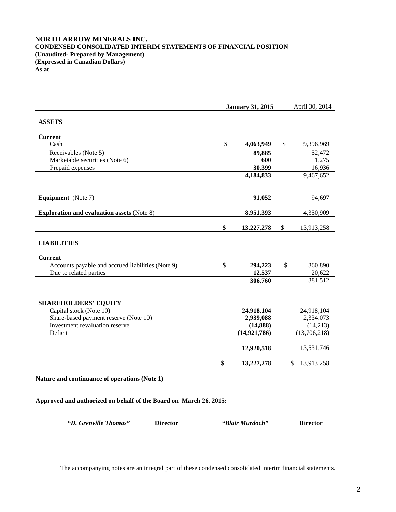# **NORTH ARROW MINERALS INC. CONDENSED CONSOLIDATED INTERIM STATEMENTS OF FINANCIAL POSITION (Unaudited- Prepared by Management) (Expressed in Canadian Dollars) As at**

|                                                                         | <b>January 31, 2015</b> | April 30, 2014 |                  |
|-------------------------------------------------------------------------|-------------------------|----------------|------------------|
| <b>ASSETS</b>                                                           |                         |                |                  |
|                                                                         |                         |                |                  |
| <b>Current</b>                                                          |                         |                |                  |
| Cash                                                                    | \$<br>4,063,949         | $\mathbb{S}$   | 9,396,969        |
| Receivables (Note 5)                                                    | 89,885                  |                | 52,472           |
| Marketable securities (Note 6)                                          | 600                     |                | 1,275            |
| Prepaid expenses                                                        | 30,399                  |                | 16,936           |
|                                                                         | 4,184,833               |                | 9,467,652        |
|                                                                         |                         |                |                  |
| <b>Equipment</b> (Note 7)                                               | 91,052                  |                | 94,697           |
| <b>Exploration and evaluation assets (Note 8)</b>                       | 8,951,393               |                | 4,350,909        |
|                                                                         | \$<br>13,227,278        | \$             | 13,913,258       |
|                                                                         |                         |                |                  |
| <b>LIABILITIES</b>                                                      |                         |                |                  |
| <b>Current</b>                                                          |                         |                |                  |
| Accounts payable and accrued liabilities (Note 9)                       | \$<br>294,223           | \$             | 360,890          |
| Due to related parties                                                  | 12,537                  |                | 20,622           |
|                                                                         | 306,760                 |                | 381,512          |
|                                                                         |                         |                |                  |
| <b>SHAREHOLDERS' EQUITY</b>                                             |                         |                |                  |
| Capital stock (Note 10)                                                 | 24,918,104              |                | 24,918,104       |
| Share-based payment reserve (Note 10)<br>Investment revaluation reserve | 2,939,088               |                | 2,334,073        |
|                                                                         | (14, 888)               |                | (14,213)         |
| Deficit                                                                 | (14, 921, 786)          |                | (13,706,218)     |
|                                                                         | 12,920,518              |                | 13,531,746       |
|                                                                         | \$<br>13,227,278        |                | \$<br>13,913,258 |
| Nature and continuance of operations (Note 1)                           |                         |                |                  |

**Approved and authorized on behalf of the Board on March 26, 2015:**

| "D. Grenville Thomas" | <b>Director</b> | "Blair Murdoch" | <b>Director</b> |
|-----------------------|-----------------|-----------------|-----------------|
|                       |                 |                 |                 |

The accompanying notes are an integral part of these condensed consolidated interim financial statements.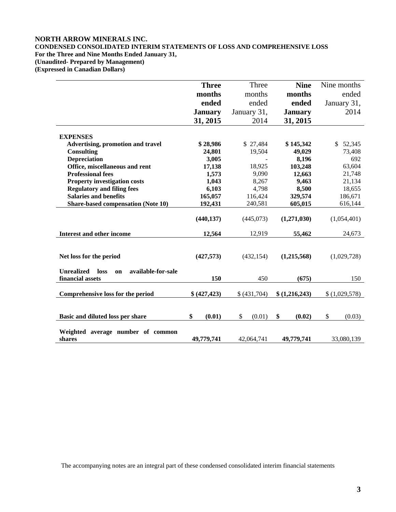# **NORTH ARROW MINERALS INC.**

# **CONDENSED CONSOLIDATED INTERIM STATEMENTS OF LOSS AND COMPREHENSIVE LOSS For the Three and Nine Months Ended January 31, (Unaudited- Prepared by Management)**

**(Expressed in Canadian Dollars)** 

|                                                                           | <b>Three</b>   | Three        | <b>Nine</b>    | Nine months              |
|---------------------------------------------------------------------------|----------------|--------------|----------------|--------------------------|
|                                                                           | months         | months       | months         | ended                    |
|                                                                           | ended          | ended        | ended          | January 31,              |
|                                                                           | <b>January</b> | January 31,  | <b>January</b> | 2014                     |
|                                                                           | 31, 2015       | 2014         | 31, 2015       |                          |
|                                                                           |                |              |                |                          |
| <b>EXPENSES</b>                                                           |                |              |                |                          |
| <b>Advertising, promotion and travel</b>                                  | \$28,986       | \$27,484     | \$145,342      | $\mathbb{S}^-$<br>52,345 |
| <b>Consulting</b>                                                         | 24,801         | 19,504       | 49,029         | 73,408                   |
| <b>Depreciation</b>                                                       | 3,005          |              | 8,196          | 692                      |
| Office, miscellaneous and rent                                            | 17,138         | 18,925       | 103,248        | 63,604                   |
| <b>Professional fees</b>                                                  | 1,573          | 9,090        | 12,663         | 21,748                   |
| <b>Property investigation costs</b>                                       | 1,043          | 8,267        | 9,463          | 21,134                   |
| <b>Regulatory and filing fees</b>                                         | 6,103          | 4,798        | 8,500          | 18,655                   |
| <b>Salaries and benefits</b>                                              | 165,057        | 116,424      | 329,574        | 186,671                  |
| <b>Share-based compensation (Note 10)</b>                                 | 192,431        | 240,581      | 605,015        | 616,144                  |
|                                                                           | (440, 137)     | (445,073)    | (1,271,030)    | (1,054,401)              |
| <b>Interest and other income</b>                                          | 12,564         | 12,919       | 55,462         | 24,673                   |
| Net loss for the period                                                   | (427,573)      | (432, 154)   | (1,215,568)    | (1,029,728)              |
| <b>Unrealized</b><br>available-for-sale<br>loss<br>on<br>financial assets | 150            | 450          | (675)          | 150                      |
| Comprehensive loss for the period                                         | \$(427,423)    | \$ (431,704) | \$(1,216,243)  | \$(1,029,578)            |
| Basic and diluted loss per share                                          | \$<br>(0.01)   | (0.01)<br>\$ | \$<br>(0.02)   | \$<br>(0.03)             |
| Weighted average number of common<br>shares                               | 49,779,741     | 42,064,741   | 49,779,741     | 33,080,139               |

The accompanying notes are an integral part of these condensed consolidated interim financial statements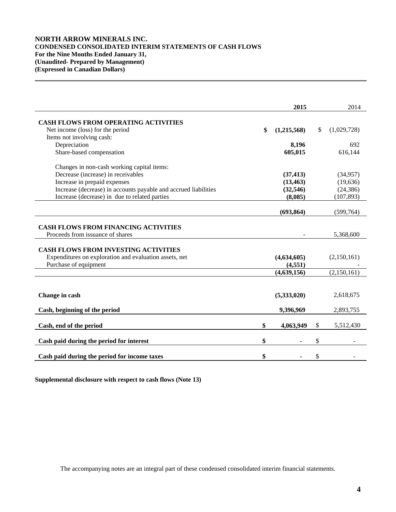# **NORTH ARROW MINERALS INC. CONDENSED CONSOLIDATED INTERIM STATEMENTS OF CASH FLOWS For the Nine Months Ended January 31, (Unaudited- Prepared by Management) (Expressed in Canadian Dollars)**

|                                                                                                       | 2015              |              | 2014        |
|-------------------------------------------------------------------------------------------------------|-------------------|--------------|-------------|
| <b>CASH FLOWS FROM OPERATING ACTIVITIES</b>                                                           |                   |              |             |
| Net income (loss) for the period                                                                      | \$<br>(1,215,568) | $\mathbb{S}$ | (1,029,728) |
| Items not involving cash:                                                                             |                   |              |             |
| Depreciation                                                                                          | 8,196             |              | 692         |
| Share-based compensation                                                                              | 605,015           |              | 616,144     |
| Changes in non-cash working capital items:                                                            |                   |              |             |
| Decrease (increase) in receivables                                                                    | (37, 413)         |              | (34,957)    |
| Increase in prepaid expenses                                                                          | (13, 463)         |              | (19,636)    |
| Increase (decrease) in accounts payable and accrued liabilities                                       | (32,546)          |              | (24, 386)   |
| Increase (decrease) in due to related parties                                                         | (8,085)           |              | (107, 893)  |
|                                                                                                       |                   |              |             |
|                                                                                                       | (693, 864)        |              | (599, 764)  |
| <b>CASH FLOWS FROM FINANCING ACTIVITIES</b>                                                           |                   |              |             |
| Proceeds from issuance of shares                                                                      |                   |              | 5,368,600   |
| <b>CASH FLOWS FROM INVESTING ACTIVITIES</b><br>Expenditures on exploration and evaluation assets, net | (4,634,605)       |              | (2,150,161) |
| Purchase of equipment                                                                                 | (4, 551)          |              |             |
|                                                                                                       | (4,639,156)       |              | (2,150,161) |
|                                                                                                       |                   |              |             |
| Change in cash                                                                                        | (5,333,020)       |              | 2,618,675   |
| Cash, beginning of the period                                                                         | 9,396,969         |              | 2,893,755   |
| Cash, end of the period                                                                               | \$<br>4,063,949   | \$           | 5,512,430   |
| Cash paid during the period for interest                                                              | \$                | \$           |             |
|                                                                                                       |                   |              |             |
| Cash paid during the period for income taxes                                                          | \$                | \$           |             |

**Supplemental disclosure with respect to cash flows (Note 13)**

The accompanying notes are an integral part of these condensed consolidated interim financial statements.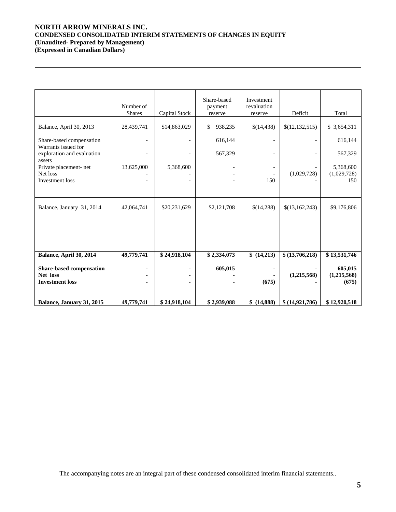# **NORTH ARROW MINERALS INC. CONDENSED CONSOLIDATED INTERIM STATEMENTS OF CHANGES IN EQUITY (Unaudited- Prepared by Management) (Expressed in Canadian Dollars)**

 $\overline{a}$ 

|                                      | Number of<br><b>Shares</b> | Capital Stock | Share-based<br>payment<br>reserve | Investment<br>revaluation<br>reserve | Deficit                  | Total        |
|--------------------------------------|----------------------------|---------------|-----------------------------------|--------------------------------------|--------------------------|--------------|
|                                      |                            |               |                                   |                                      |                          |              |
| Balance, April 30, 2013              | 28,439,741                 | \$14,863,029  | \$<br>938,235                     | \$(14,438)                           | \$(12,132,515)           | \$ 3,654,311 |
| Share-based compensation             |                            |               | 616,144                           |                                      | $\overline{\phantom{a}}$ | 616,144      |
| Warrants issued for                  |                            |               |                                   |                                      |                          |              |
| exploration and evaluation<br>assets |                            |               | 567,329                           |                                      |                          | 567,329      |
| Private placement- net               | 13,625,000                 | 5,368,600     |                                   |                                      |                          | 5,368,600    |
| Net loss                             |                            |               |                                   |                                      | (1,029,728)              | (1,029,728)  |
| Investment loss                      |                            |               |                                   | 150                                  |                          | 150          |
|                                      |                            |               |                                   |                                      |                          |              |
|                                      |                            |               |                                   |                                      |                          |              |
| Balance, January 31, 2014            | 42,064,741                 | \$20,231,629  | \$2,121,708                       | \$(14,288)                           | \$(13,162,243)           | \$9,176,806  |
|                                      |                            |               |                                   |                                      |                          |              |
|                                      |                            |               |                                   |                                      |                          |              |
|                                      |                            |               |                                   |                                      |                          |              |
|                                      |                            |               |                                   |                                      |                          |              |
|                                      |                            |               |                                   |                                      |                          |              |
| Balance, April 30, 2014              | 49,779,741                 | \$24,918,104  | \$2,334,073                       | \$(14,213)                           | \$(13,706,218)           | \$13,531,746 |
| <b>Share-based compensation</b>      |                            |               | 605,015                           |                                      |                          | 605,015      |
| Net loss                             |                            |               |                                   |                                      | (1,215,568)              | (1,215,568)  |
| <b>Investment loss</b>               |                            |               |                                   | (675)                                |                          | (675)        |
|                                      |                            |               |                                   |                                      |                          |              |
| Balance, January 31, 2015            | 49,779,741                 | \$24,918,104  | \$2,939,088                       | \$ (14,888)                          | \$ (14,921,786)          | \$12,920,518 |
|                                      |                            |               |                                   |                                      |                          |              |

The accompanying notes are an integral part of these condensed consolidated interim financial statements..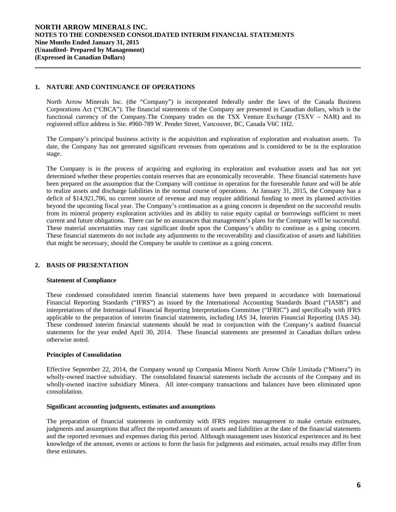## **1. NATURE AND CONTINUANCE OF OPERATIONS**

North Arrow Minerals Inc. (the "Company") is incorporated federally under the laws of the Canada Business Corporations Act ("CBCA"). The financial statements of the Company are presented in Canadian dollars, which is the functional currency of the Company.The Company trades on the TSX Venture Exchange (TSXV – NAR) and its registered office address is Ste. #960-789 W. Pender Street, Vancouver, BC, Canada V6C 1H2.

The Company's principal business activity is the acquisition and exploration of exploration and evaluation assets. To date, the Company has not generated significant revenues from operations and is considered to be in the exploration stage.

The Company is in the process of acquiring and exploring its exploration and evaluation assets and has not yet determined whether these properties contain reserves that are economically recoverable. These financial statements have been prepared on the assumption that the Company will continue in operation for the foreseeable future and will be able to realize assets and discharge liabilities in the normal course of operations. At January 31, 2015, the Company has a deficit of \$14,921,786, no current source of revenue and may require additional funding to meet its planned activities beyond the upcoming fiscal year. The Company's continuation as a going concern is dependent on the successful results from its mineral property exploration activities and its ability to raise equity capital or borrowings sufficient to meet current and future obligations. There can be no assurances that management's plans for the Company will be successful. These material uncertainties may cast significant doubt upon the Company's ability to continue as a going concern. These financial statements do not include any adjustments to the recoverability and classification of assets and liabilities that might be necessary, should the Company be unable to continue as a going concern.

# **2. BASIS OF PRESENTATION**

## **Statement of Compliance**

These condensed consolidated interim financial statements have been prepared in accordance with International Financial Reporting Standards ("IFRS") as issued by the International Accounting Standards Board ("IASB") and interpretations of the International Financial Reporting Interpretations Committee ("IFRIC") and specifically with IFRS applicable to the preparation of interim financial statements, including IAS 34, Interim Financial Reporting (IAS 34). These condensed interim financial statements should be read in conjunction with the Company's audited financial statements for the year ended April 30, 2014. These financial statements are presented in Canadian dollars unless otherwise noted.

### **Principles of Consolidation**

Effective September 22, 2014, the Company wound up Compania Minera North Arrow Chile Limitada ("Minera") its wholly-owned inactive subsidiary. The consolidated financial statements include the accounts of the Company and its wholly-owned inactive subsidiary Minera. All inter-company transactions and balances have been eliminated upon consolidation.

#### **Significant accounting judgments, estimates and assumptions**

The preparation of financial statements in conformity with IFRS requires management to make certain estimates, judgments and assumptions that affect the reported amounts of assets and liabilities at the date of the financial statements and the reported revenues and expenses during this period. Although management uses historical experiences and its best knowledge of the amount, events or actions to form the basis for judgments and estimates, actual results may differ from these estimates.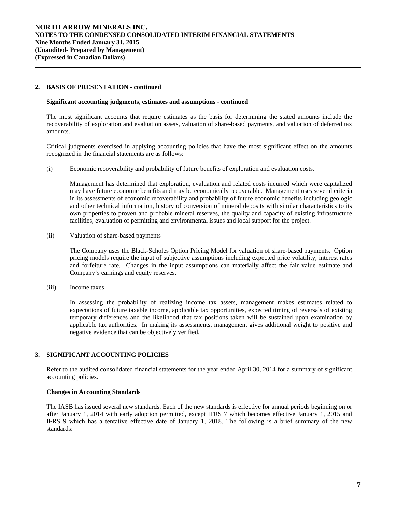## **2. BASIS OF PRESENTATION - continued**

 $\overline{a}$ 

#### **Significant accounting judgments, estimates and assumptions** *-* **continued**

The most significant accounts that require estimates as the basis for determining the stated amounts include the recoverability of exploration and evaluation assets, valuation of share-based payments, and valuation of deferred tax amounts.

Critical judgments exercised in applying accounting policies that have the most significant effect on the amounts recognized in the financial statements are as follows:

(i) Economic recoverability and probability of future benefits of exploration and evaluation costs*.* 

Management has determined that exploration, evaluation and related costs incurred which were capitalized may have future economic benefits and may be economically recoverable. Management uses several criteria in its assessments of economic recoverability and probability of future economic benefits including geologic and other technical information, history of conversion of mineral deposits with similar characteristics to its own properties to proven and probable mineral reserves, the quality and capacity of existing infrastructure facilities, evaluation of permitting and environmental issues and local support for the project.

(ii) Valuation of share-based payments

The Company uses the Black-Scholes Option Pricing Model for valuation of share-based payments. Option pricing models require the input of subjective assumptions including expected price volatility, interest rates and forfeiture rate. Changes in the input assumptions can materially affect the fair value estimate and Company's earnings and equity reserves.

(iii) Income taxes

In assessing the probability of realizing income tax assets, management makes estimates related to expectations of future taxable income, applicable tax opportunities, expected timing of reversals of existing temporary differences and the likelihood that tax positions taken will be sustained upon examination by applicable tax authorities. In making its assessments, management gives additional weight to positive and negative evidence that can be objectively verified.

# **3. SIGNIFICANT ACCOUNTING POLICIES**

Refer to the audited consolidated financial statements for the year ended April 30, 2014 for a summary of significant accounting policies.

## **Changes in Accounting Standards**

The IASB has issued several new standards. Each of the new standards is effective for annual periods beginning on or after January 1, 2014 with early adoption permitted, except IFRS 7 which becomes effective January 1, 2015 and IFRS 9 which has a tentative effective date of January 1, 2018. The following is a brief summary of the new standards: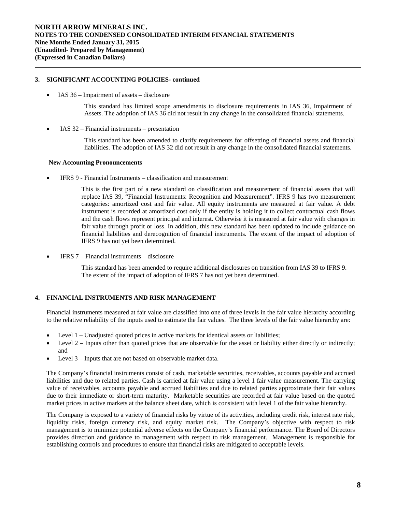# **3. SIGNIFICANT ACCOUNTING POLICIES- continued**

• IAS 36 – Impairment of assets – disclosure

This standard has limited scope amendments to disclosure requirements in IAS 36, Impairment of Assets. The adoption of IAS 36 did not result in any change in the consolidated financial statements.

 $\bullet$  IAS 32 – Financial instruments – presentation

This standard has been amended to clarify requirements for offsetting of financial assets and financial liabilities. The adoption of IAS 32 did not result in any change in the consolidated financial statements.

## **New Accounting Pronouncements**

IFRS 9 - Financial Instruments – classification and measurement

This is the first part of a new standard on classification and measurement of financial assets that will replace IAS 39, "Financial Instruments: Recognition and Measurement". IFRS 9 has two measurement categories: amortized cost and fair value. All equity instruments are measured at fair value. A debt instrument is recorded at amortized cost only if the entity is holding it to collect contractual cash flows and the cash flows represent principal and interest. Otherwise it is measured at fair value with changes in fair value through profit or loss. In addition, this new standard has been updated to include guidance on financial liabilities and derecognition of financial instruments. The extent of the impact of adoption of IFRS 9 has not yet been determined.

IFRS 7 – Financial instruments – disclosure

This standard has been amended to require additional disclosures on transition from IAS 39 to IFRS 9. The extent of the impact of adoption of IFRS 7 has not yet been determined.

# **4. FINANCIAL INSTRUMENTS AND RISK MANAGEMENT**

Financial instruments measured at fair value are classified into one of three levels in the fair value hierarchy according to the relative reliability of the inputs used to estimate the fair values. The three levels of the fair value hierarchy are:

- Level 1 Unadjusted quoted prices in active markets for identical assets or liabilities;
- Level  $2$  Inputs other than quoted prices that are observable for the asset or liability either directly or indirectly; and
- Level 3 Inputs that are not based on observable market data.

The Company's financial instruments consist of cash, marketable securities, receivables, accounts payable and accrued liabilities and due to related parties. Cash is carried at fair value using a level 1 fair value measurement. The carrying value of receivables, accounts payable and accrued liabilities and due to related parties approximate their fair values due to their immediate or short-term maturity. Marketable securities are recorded at fair value based on the quoted market prices in active markets at the balance sheet date, which is consistent with level 1 of the fair value hierarchy.

The Company is exposed to a variety of financial risks by virtue of its activities, including credit risk, interest rate risk, liquidity risks, foreign currency risk, and equity market risk. The Company's objective with respect to risk management is to minimize potential adverse effects on the Company's financial performance. The Board of Directors provides direction and guidance to management with respect to risk management. Management is responsible for establishing controls and procedures to ensure that financial risks are mitigated to acceptable levels.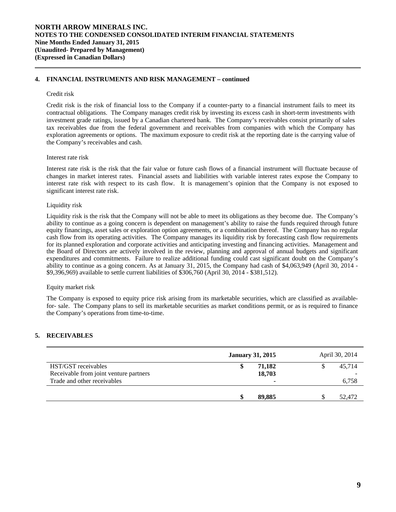## **4. FINANCIAL INSTRUMENTS AND RISK MANAGEMENT – continued**

#### Credit risk

 $\overline{a}$ 

Credit risk is the risk of financial loss to the Company if a counter-party to a financial instrument fails to meet its contractual obligations. The Company manages credit risk by investing its excess cash in short-term investments with investment grade ratings, issued by a Canadian chartered bank. The Company's receivables consist primarily of sales tax receivables due from the federal government and receivables from companies with which the Company has exploration agreements or options. The maximum exposure to credit risk at the reporting date is the carrying value of the Company's receivables and cash.

## Interest rate risk

Interest rate risk is the risk that the fair value or future cash flows of a financial instrument will fluctuate because of changes in market interest rates. Financial assets and liabilities with variable interest rates expose the Company to interest rate risk with respect to its cash flow. It is management's opinion that the Company is not exposed to significant interest rate risk.

## Liquidity risk

Liquidity risk is the risk that the Company will not be able to meet its obligations as they become due. The Company's ability to continue as a going concern is dependent on management's ability to raise the funds required through future equity financings, asset sales or exploration option agreements, or a combination thereof. The Company has no regular cash flow from its operating activities. The Company manages its liquidity risk by forecasting cash flow requirements for its planned exploration and corporate activities and anticipating investing and financing activities. Management and the Board of Directors are actively involved in the review, planning and approval of annual budgets and significant expenditures and commitments. Failure to realize additional funding could cast significant doubt on the Company's ability to continue as a going concern. As at January 31, 2015, the Company had cash of \$4,063,949 (April 30, 2014 - \$9,396,969) available to settle current liabilities of \$306,760 (April 30, 2014 - \$381,512).

### Equity market risk

The Company is exposed to equity price risk arising from its marketable securities, which are classified as availablefor- sale. The Company plans to sell its marketable securities as market conditions permit, or as is required to finance the Company's operations from time-to-time.

## **5. RECEIVABLES**

|                                        | <b>January 31, 2015</b> | April 30, 2014 |  |        |
|----------------------------------------|-------------------------|----------------|--|--------|
| HST/GST receivables                    | 71,182<br>\$            |                |  | 45.714 |
| Receivable from joint venture partners | 18,703                  |                |  |        |
| Trade and other receivables            |                         | ۰              |  | 6,758  |
|                                        | 89,885<br>S             |                |  | 52,472 |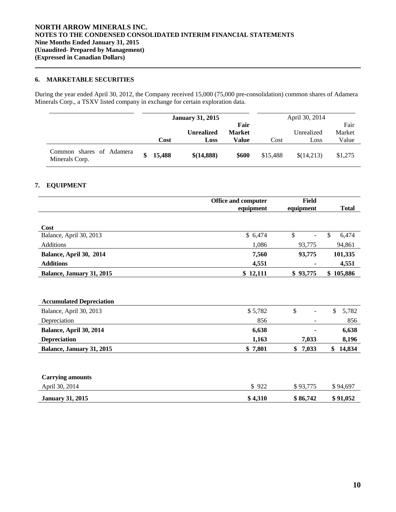# **6. MARKETABLE SECURITIES**

During the year ended April 30, 2012, the Company received 15,000 (75,000 pre-consolidation) common shares of Adamera Minerals Corp., a TSXV listed company in exchange for certain exploration data.

|                                            | <b>January 31, 2015</b> |                   | April 30, 2014        |          |            |                |
|--------------------------------------------|-------------------------|-------------------|-----------------------|----------|------------|----------------|
|                                            |                         | <b>Unrealized</b> | Fair<br><b>Market</b> |          | Unrealized | Fair<br>Market |
|                                            | Cost                    | Loss              | Value                 | Cost     | Loss       | Value          |
| Common shares of Adamera<br>Minerals Corp. | 15,488                  | \$(14,888)        | \$600                 | \$15,488 | \$(14,213) | \$1,275        |

# **7. EQUIPMENT**

|                                 | <b>Office and computer</b> | <b>Field</b>             |               |
|---------------------------------|----------------------------|--------------------------|---------------|
|                                 | equipment                  | equipment                | <b>Total</b>  |
|                                 |                            |                          |               |
| Cost                            |                            |                          |               |
| Balance, April 30, 2013         | \$6,474                    | \$                       | \$<br>6,474   |
| <b>Additions</b>                | 1,086                      | 93,775                   | 94,861        |
| Balance, April 30, 2014         | 7,560                      | 93,775                   | 101,335       |
| <b>Additions</b>                | 4,551                      |                          | 4,551         |
| Balance, January 31, 2015       | \$12,111                   | \$93,775                 | 105,886<br>\$ |
|                                 |                            |                          |               |
|                                 |                            |                          |               |
| <b>Accumulated Depreciation</b> |                            |                          |               |
| Balance, April 30, 2013         | \$5,782                    | \$                       | \$<br>5,782   |
| Depreciation                    | 856                        | $\overline{\phantom{a}}$ | 856           |
| Balance, April 30, 2014         | 6,638                      |                          | 6,638         |
| <b>Depreciation</b>             | 1,163                      | 7,033                    | 8,196         |
| Balance, January 31, 2015       | \$7,801                    | 7,033<br>\$              | 14,834<br>\$  |
|                                 |                            |                          |               |
| <b>Carrying amounts</b>         |                            |                          |               |
| April 30, 2014                  | \$922                      | \$93,775                 | \$94,697      |
| <b>January 31, 2015</b>         | \$4,310                    | \$86,742                 | \$91,052      |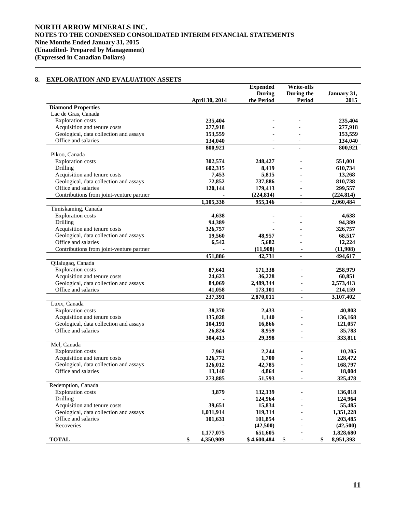# **8. EXPLORATION AND EVALUATION ASSETS**

 $\overline{a}$ 

|                                          |                       | <b>Expended</b> | <b>Write-offs</b>        |                              |
|------------------------------------------|-----------------------|-----------------|--------------------------|------------------------------|
|                                          |                       | <b>During</b>   | During the               | January 31,                  |
|                                          | <b>April 30, 2014</b> | the Period      | Period                   | 2015                         |
| <b>Diamond Properties</b>                |                       |                 |                          |                              |
| Lac de Gras, Canada                      |                       |                 |                          |                              |
| <b>Exploration</b> costs                 | 235,404               |                 |                          | 235,404                      |
| Acquisition and tenure costs             | 277,918               |                 |                          | 277,918                      |
| Geological, data collection and assays   | 153,559               |                 |                          | 153,559                      |
| Office and salaries                      | 134,040               |                 |                          | 134,040                      |
|                                          | 800,921               | $\blacksquare$  | $\blacksquare$           | 800,921                      |
| Pikoo, Canada                            |                       |                 |                          |                              |
| <b>Exploration</b> costs                 | 302,574               | 248,427         |                          | 551,001                      |
| Drilling                                 | 602,315               | 8,419           |                          | 610,734                      |
| Acquisition and tenure costs             | 7,453                 | 5,815           |                          | 13,268                       |
| Geological, data collection and assays   | 72,852                | 737,886         |                          | 810,738                      |
| Office and salaries                      | 120,144               | 179,413         |                          | 299,557                      |
| Contributions from joint-venture partner |                       | (224, 814)      | $\overline{a}$           | (224, 814)                   |
|                                          | 1,105,338             | 955,146         | $\blacksquare$           | 2,060,484                    |
| Timiskaming, Canada                      |                       |                 |                          |                              |
| <b>Exploration</b> costs                 | 4,638                 |                 |                          | 4.638                        |
| Drilling                                 | 94,389                |                 |                          | 94,389                       |
| Acquisition and tenure costs             | 326,757               |                 |                          | 326,757                      |
| Geological, data collection and assays   | 19,560                | 48,957          |                          | 68,517                       |
| Office and salaries                      | 6,542                 | 5,682           |                          | 12,224                       |
| Contributions from joint-venture partner |                       | (11,908)        | $\blacksquare$           | (11,908)                     |
|                                          | 451,886               | 42,731          | $\overline{a}$           | 494,617                      |
| Qilalugaq, Canada                        |                       |                 |                          |                              |
| <b>Exploration</b> costs                 | 87,641                | 171,338         |                          | 258,979                      |
| Acquisition and tenure costs             | 24,623                | 36,228          |                          | 60,851                       |
| Geological, data collection and assays   | 84,069                | 2,489,344       |                          | 2,573,413                    |
| Office and salaries                      | 41,058                | 173,101         |                          | 214,159                      |
|                                          | 237,391               | 2,870,011       |                          | 3,107,402                    |
| Luxx, Canada                             |                       |                 |                          |                              |
| <b>Exploration</b> costs                 | 38,370                | 2,433           |                          | 40,803                       |
| Acquisition and tenure costs             | 135,028               | 1,140           |                          | 136,168                      |
| Geological, data collection and assays   | 104,191               | 16,866          |                          | 121,057                      |
| Office and salaries                      | 26,824                | 8,959           | $\overline{\phantom{a}}$ | 35,783                       |
|                                          | 304,413               | 29,398          | $\overline{\phantom{a}}$ | 333,811                      |
| Mel, Canada                              |                       |                 |                          |                              |
| <b>Exploration costs</b>                 | 7,961                 | 2,244           |                          | 10,205                       |
| Acquisition and tenure costs             | 126,772               | 1,700           |                          | 128,472                      |
| Geological, data collection and assays   | 126,012               | 42,785          |                          | 168,797                      |
| Office and salaries                      | 13,140                | 4,864           |                          | 18,004                       |
|                                          | 273,885               | 51,593          | $\overline{\phantom{0}}$ | 325,478                      |
| Redemption, Canada                       |                       |                 |                          |                              |
| <b>Exploration costs</b>                 | 3,879                 | 132,139         |                          | 136,018                      |
| Drilling                                 |                       | 124,964         |                          | 124,964                      |
| Acquisition and tenure costs             | 39,651                | 15,834          |                          | 55,485                       |
| Geological, data collection and assays   | 1,031,914             | 319,314         |                          | 1,351,228                    |
| Office and salaries                      | 101,631               | 101,854         |                          | 203,485                      |
| Recoveries                               |                       |                 |                          |                              |
|                                          |                       | (42,500)        |                          | (42,500)                     |
|                                          | 1,177,075             | 651,605         | $\overline{\phantom{a}}$ | 1,828,680                    |
| <b>TOTAL</b>                             | \$<br>4,350,909       | \$4,600,484     | \$<br>÷.                 | \$<br>$\overline{8,}951,393$ |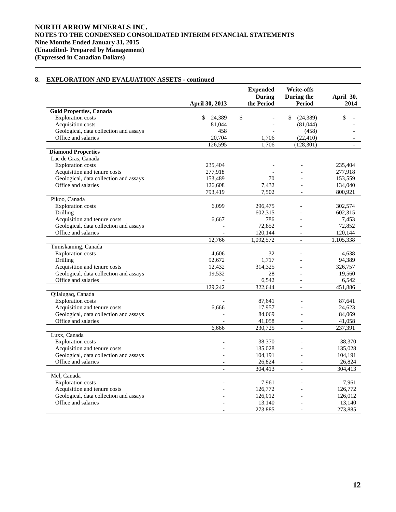|                                        | April 30, 2013  | <b>Expended</b><br><b>During</b><br>the Period | <b>Write-offs</b><br>During the<br>Period | April 30,<br>2014 |
|----------------------------------------|-----------------|------------------------------------------------|-------------------------------------------|-------------------|
| <b>Gold Properties, Canada</b>         |                 |                                                |                                           |                   |
| <b>Exploration costs</b>               | \$<br>24,389    | \$                                             | \$<br>(24, 389)                           | \$                |
| Acquisition costs                      | 81,044          |                                                | (81,044)                                  |                   |
| Geological, data collection and assays | 458             |                                                | (458)                                     |                   |
| Office and salaries                    | 20,704          | 1,706                                          | (22, 410)                                 |                   |
|                                        | 126,595         | 1,706                                          | (128, 301)                                |                   |
| <b>Diamond Properties</b>              |                 |                                                |                                           |                   |
| Lac de Gras, Canada                    |                 |                                                |                                           |                   |
| <b>Exploration</b> costs               | 235,404         |                                                |                                           | 235,404           |
| Acquisition and tenure costs           | 277,918         |                                                |                                           | 277,918           |
| Geological, data collection and assays | 153,489         | 70                                             |                                           | 153,559           |
| Office and salaries                    | 126,608         | 7,432                                          |                                           | 134,040           |
|                                        | 793,419         | 7.502                                          | $\mathbf{r}$                              | 800,921           |
| Pikoo, Canada                          |                 |                                                |                                           |                   |
| <b>Exploration costs</b>               | 6,099           | 296,475                                        |                                           | 302,574           |
| Drilling                               |                 | 602,315                                        |                                           | 602,315           |
| Acquisition and tenure costs           | 6,667           | 786                                            |                                           | 7,453             |
| Geological, data collection and assays |                 | 72,852                                         | $\overline{a}$                            | 72,852            |
| Office and salaries                    |                 | 120,144                                        |                                           | 120,144           |
|                                        | 12,766          | 1,092,572                                      | $\overline{\phantom{0}}$                  | 1,105,338         |
|                                        |                 |                                                |                                           |                   |
| Timiskaming, Canada                    |                 |                                                |                                           | 4.638             |
| <b>Exploration</b> costs<br>Drilling   | 4,606<br>92,672 | 32                                             |                                           |                   |
|                                        |                 | 1,717                                          |                                           | 94,389            |
| Acquisition and tenure costs           | 12,432          | 314,325                                        |                                           | 326,757           |
| Geological, data collection and assays | 19,532          | 28                                             |                                           | 19,560            |
| Office and salaries                    |                 | 6,542                                          | $\overline{a}$                            | 6,542             |
|                                        | 129,242         | 322,644                                        | $\equiv$                                  | 451,886           |
| Qilalugaq, Canada                      |                 |                                                |                                           |                   |
| <b>Exploration</b> costs               |                 | 87,641                                         |                                           | 87,641            |
| Acquisition and tenure costs           | 6,666           | 17,957                                         |                                           | 24,623            |
| Geological, data collection and assays |                 | 84,069                                         |                                           | 84,069            |
| Office and salaries                    |                 | 41,058                                         | $\overline{a}$                            | 41,058            |
|                                        | 6,666           | 230,725                                        | $\blacksquare$                            | 237,391           |
| Luxx, Canada                           |                 |                                                |                                           |                   |
| <b>Exploration</b> costs               |                 | 38,370                                         |                                           | 38,370            |
| Acquisition and tenure costs           |                 | 135,028                                        |                                           | 135,028           |
| Geological, data collection and assays |                 | 104,191                                        |                                           | 104,191           |
| Office and salaries                    |                 | 26,824                                         |                                           | 26,824            |
|                                        |                 | 304,413                                        | $\overline{a}$                            | 304,413           |
| Mel, Canada                            |                 |                                                |                                           |                   |
| <b>Exploration</b> costs               |                 | 7,961                                          |                                           | 7,961             |
| Acquisition and tenure costs           |                 | 126,772                                        |                                           | 126,772           |
| Geological, data collection and assays |                 | 126,012                                        |                                           | 126,012           |
| Office and salaries                    |                 | 13,140                                         | $\overline{\phantom{a}}$                  | 13,140            |
|                                        |                 | 273,885                                        | $\frac{1}{2}$                             | 273,885           |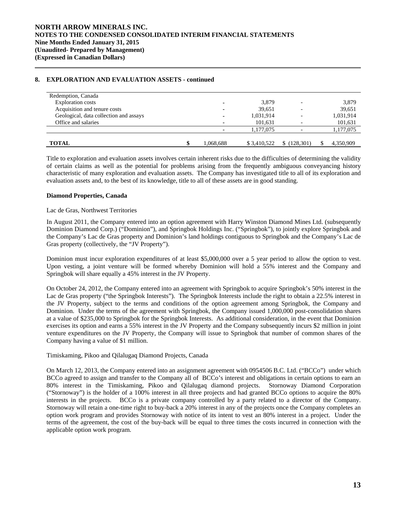| Redemption, Canada                     |           |             |           |           |
|----------------------------------------|-----------|-------------|-----------|-----------|
| <b>Exploration costs</b>               |           | 3,879       |           | 3,879     |
| Acquisition and tenure costs           | ۰         | 39,651      |           | 39,651    |
| Geological, data collection and assays |           | 1,031,914   |           | 1,031,914 |
| Office and salaries                    |           | 101,631     |           | 101,631   |
|                                        |           | 1,177,075   |           | 1,177,075 |
|                                        |           |             |           |           |
| <b>TOTAL</b>                           | 1.068.688 | \$3,410,522 | (128.301) | 4,350,909 |

 Title to exploration and evaluation assets involves certain inherent risks due to the difficulties of determining the validity of certain claims as well as the potential for problems arising from the frequently ambiguous conveyancing history characteristic of many exploration and evaluation assets. The Company has investigated title to all of its exploration and evaluation assets and, to the best of its knowledge, title to all of these assets are in good standing.

## **Diamond Properties, Canada**

## Lac de Gras, Northwest Territories

In August 2011, the Company entered into an option agreement with Harry Winston Diamond Mines Ltd. (subsequently Dominion Diamond Corp.) ("Dominion"), and Springbok Holdings Inc. ("Springbok"), to jointly explore Springbok and the Company's Lac de Gras property and Dominion's land holdings contiguous to Springbok and the Company's Lac de Gras property (collectively, the "JV Property").

Dominion must incur exploration expenditures of at least \$5,000,000 over a 5 year period to allow the option to vest. Upon vesting, a joint venture will be formed whereby Dominion will hold a 55% interest and the Company and Springbok will share equally a 45% interest in the JV Property.

On October 24, 2012, the Company entered into an agreement with Springbok to acquire Springbok's 50% interest in the Lac de Gras property ("the Springbok Interests"). The Springbok Interests include the right to obtain a 22.5% interest in the JV Property, subject to the terms and conditions of the option agreement among Springbok, the Company and Dominion. Under the terms of the agreement with Springbok, the Company issued 1,000,000 post-consolidation shares at a value of \$235,000 to Springbok for the Springbok Interests. As additional consideration, in the event that Dominion exercises its option and earns a 55% interest in the JV Property and the Company subsequently incurs \$2 million in joint venture expenditures on the JV Property, the Company will issue to Springbok that number of common shares of the Company having a value of \$1 million.

# Timiskaming, Pikoo and Qilalugaq Diamond Projects, Canada

On March 12, 2013, the Company entered into an assignment agreement with 0954506 B.C. Ltd. ("BCCo") under which BCCo agreed to assign and transfer to the Company all of BCCo's interest and obligations in certain options to earn an 80% interest in the Timiskaming, Pikoo and Qilalugaq diamond projects. Stornoway Diamond Corporation ("Stornoway") is the holder of a 100% interest in all three projects and had granted BCCo options to acquire the 80% interests in the projects. BCCo is a private company controlled by a party related to a director of the Company. Stornoway will retain a one-time right to buy-back a 20% interest in any of the projects once the Company completes an option work program and provides Stornoway with notice of its intent to vest an 80% interest in a project. Under the terms of the agreement, the cost of the buy-back will be equal to three times the costs incurred in connection with the applicable option work program.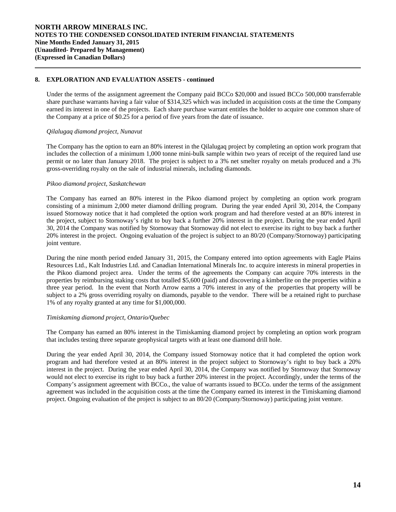Under the terms of the assignment agreement the Company paid BCCo \$20,000 and issued BCCo 500,000 transferrable share purchase warrants having a fair value of \$314,325 which was included in acquisition costs at the time the Company earned its interest in one of the projects. Each share purchase warrant entitles the holder to acquire one common share of the Company at a price of \$0.25 for a period of five years from the date of issuance.

# *Qilalugaq diamond project, Nunavut*

 $\overline{a}$ 

The Company has the option to earn an 80% interest in the Qilalugaq project by completing an option work program that includes the collection of a minimum 1,000 tonne mini-bulk sample within two years of receipt of the required land use permit or no later than January 2018. The project is subject to a 3% net smelter royalty on metals produced and a 3% gross-overriding royalty on the sale of industrial minerals, including diamonds.

## *Pikoo diamond project, Saskatchewan*

The Company has earned an 80% interest in the Pikoo diamond project by completing an option work program consisting of a minimum 2,000 meter diamond drilling program. During the year ended April 30, 2014, the Company issued Stornoway notice that it had completed the option work program and had therefore vested at an 80% interest in the project, subject to Stornoway's right to buy back a further 20% interest in the project. During the year ended April 30, 2014 the Company was notified by Stornoway that Stornoway did not elect to exercise its right to buy back a further 20% interest in the project. Ongoing evaluation of the project is subject to an 80/20 (Company/Stornoway) participating joint venture.

During the nine month period ended January 31, 2015, the Company entered into option agreements with Eagle Plains Resources Ltd., Kalt Industries Ltd. and Canadian International Minerals Inc. to acquire interests in mineral properties in the Pikoo diamond project area. Under the terms of the agreements the Company can acquire 70% interests in the properties by reimbursing staking costs that totalled \$5,600 (paid) and discovering a kimberlite on the properties within a three year period. In the event that North Arrow earns a 70% interest in any of the properties that property will be subject to a 2% gross overriding royalty on diamonds, payable to the vendor. There will be a retained right to purchase 1% of any royalty granted at any time for \$1,000,000.

# *Timiskaming diamond project, Ontario/Quebec*

The Company has earned an 80% interest in the Timiskaming diamond project by completing an option work program that includes testing three separate geophysical targets with at least one diamond drill hole.

During the year ended April 30, 2014, the Company issued Stornoway notice that it had completed the option work program and had therefore vested at an 80% interest in the project subject to Stornoway's right to buy back a 20% interest in the project. During the year ended April 30, 2014, the Company was notified by Stornoway that Stornoway would not elect to exercise its right to buy back a further 20% interest in the project. Accordingly, under the terms of the Company's assignment agreement with BCCo., the value of warrants issued to BCCo. under the terms of the assignment agreement was included in the acquisition costs at the time the Company earned its interest in the Timiskaming diamond project. Ongoing evaluation of the project is subject to an 80/20 (Company/Stornoway) participating joint venture.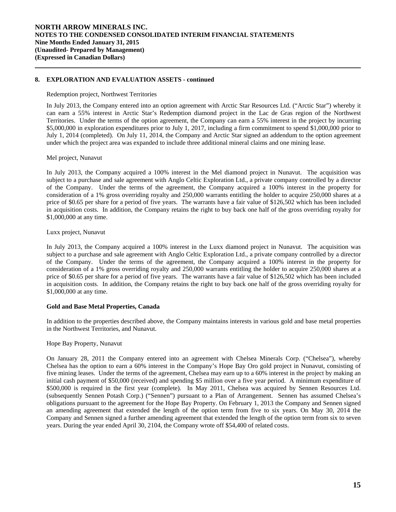Redemption project, Northwest Territories

In July 2013, the Company entered into an option agreement with Arctic Star Resources Ltd. ("Arctic Star") whereby it can earn a 55% interest in Arctic Star's Redemption diamond project in the Lac de Gras region of the Northwest Territories. Under the terms of the option agreement, the Company can earn a 55% interest in the project by incurring \$5,000,000 in exploration expenditures prior to July 1, 2017, including a firm commitment to spend \$1,000,000 prior to July 1, 2014 (completed). On July 11, 2014, the Company and Arctic Star signed an addendum to the option agreement under which the project area was expanded to include three additional mineral claims and one mining lease.

Mel project, Nunavut

 $\overline{a}$ 

In July 2013, the Company acquired a 100% interest in the Mel diamond project in Nunavut. The acquisition was subject to a purchase and sale agreement with Anglo Celtic Exploration Ltd., a private company controlled by a director of the Company. Under the terms of the agreement, the Company acquired a 100% interest in the property for consideration of a 1% gross overriding royalty and 250,000 warrants entitling the holder to acquire 250,000 shares at a price of \$0.65 per share for a period of five years. The warrants have a fair value of \$126,502 which has been included in acquisition costs. In addition, the Company retains the right to buy back one half of the gross overriding royalty for \$1,000,000 at any time.

## Luxx project, Nunavut

In July 2013, the Company acquired a 100% interest in the Luxx diamond project in Nunavut. The acquisition was subject to a purchase and sale agreement with Anglo Celtic Exploration Ltd., a private company controlled by a director of the Company. Under the terms of the agreement, the Company acquired a 100% interest in the property for consideration of a 1% gross overriding royalty and 250,000 warrants entitling the holder to acquire 250,000 shares at a price of \$0.65 per share for a period of five years. The warrants have a fair value of \$126,502 which has been included in acquisition costs. In addition, the Company retains the right to buy back one half of the gross overriding royalty for \$1,000,000 at any time.

# **Gold and Base Metal Properties, Canada**

 In addition to the properties described above, the Company maintains interests in various gold and base metal properties in the Northwest Territories, and Nunavut.

### Hope Bay Property, Nunavut

On January 28, 2011 the Company entered into an agreement with Chelsea Minerals Corp. ("Chelsea"), whereby Chelsea has the option to earn a 60% interest in the Company's Hope Bay Oro gold project in Nunavut, consisting of five mining leases. Under the terms of the agreement, Chelsea may earn up to a 60% interest in the project by making an initial cash payment of \$50,000 (received) and spending \$5 million over a five year period. A minimum expenditure of \$500,000 is required in the first year (complete). In May 2011, Chelsea was acquired by Sennen Resources Ltd. (subsequently Sennen Potash Corp.) ("Sennen") pursuant to a Plan of Arrangement. Sennen has assumed Chelsea's obligations pursuant to the agreement for the Hope Bay Property. On February 1, 2013 the Company and Sennen signed an amending agreement that extended the length of the option term from five to six years. On May 30, 2014 the Company and Sennen signed a further amending agreement that extended the length of the option term from six to seven years. During the year ended April 30, 2104, the Company wrote off \$54,400 of related costs.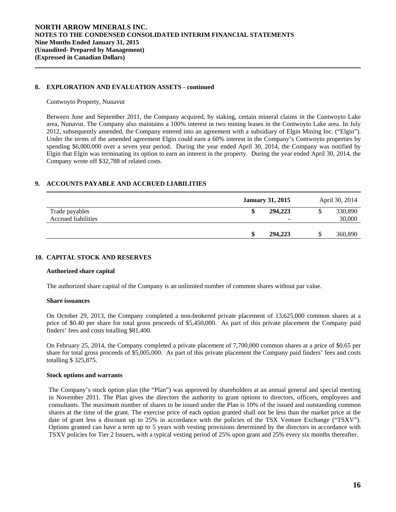#### Contwoyto Property, Nunavut

 $\overline{a}$ 

Between June and September 2011, the Company acquired, by staking, certain mineral claims in the Contwoyto Lake area, Nunavut. The Company also maintains a 100% interest in two mining leases in the Contwoyto Lake area. In July 2012, subsequently amended, the Company entered into an agreement with a subsidiary of Elgin Mining Inc. ("Elgin"). Under the terms of the amended agreement Elgin could earn a 60% interest in the Company's Contwoyto properties by spending \$6,000,000 over a seven year period. During the year ended April 30, 2014, the Company was notified by Elgin that Elgin was terminating its option to earn an interest in the property. During the year ended April 30, 2014, the Company wrote off \$32,788 of related costs.

# **9. ACCOUNTS PAYABLE AND ACCRUED LIABILITIES**

|                                              | <b>January 31, 2015</b> | April 30, 2014    |
|----------------------------------------------|-------------------------|-------------------|
| Trade payables<br><b>Accrued liabilities</b> | 294,223<br>۰            | 330,890<br>30,000 |
|                                              | 294,223                 | 360,890           |

## **10. CAPITAL STOCK AND RESERVES**

### **Authorized share capital**

The authorized share capital of the Company is an unlimited number of common shares without par value.

### **Share issuances**

On October 29, 2013, the Company completed a non-brokered private placement of 13,625,000 common shares at a price of \$0.40 per share for total gross proceeds of \$5,450,000. As part of this private placement the Company paid finders' fees and costs totalling \$81,400.

On February 25, 2014, the Company completed a private placement of 7,700,000 common shares at a price of \$0.65 per share for total gross proceeds of \$5,005,000. As part of this private placement the Company paid finders' fees and costs totalling \$ 325,875.

### **Stock options and warrants**

 The Company's stock option plan (the "Plan") was approved by shareholders at an annual general and special meeting in November 2011. The Plan gives the directors the authority to grant options to directors, officers, employees and consultants. The maximum number of shares to be issued under the Plan is 10% of the issued and outstanding common shares at the time of the grant. The exercise price of each option granted shall not be less than the market price at the date of grant less a discount up to 25% in accordance with the policies of the TSX Venture Exchange ("TSXV"). Options granted can have a term up to 5 years with vesting provisions determined by the directors in accordance with TSXV policies for Tier 2 Issuers, with a typical vesting period of 25% upon grant and 25% every six months thereafter.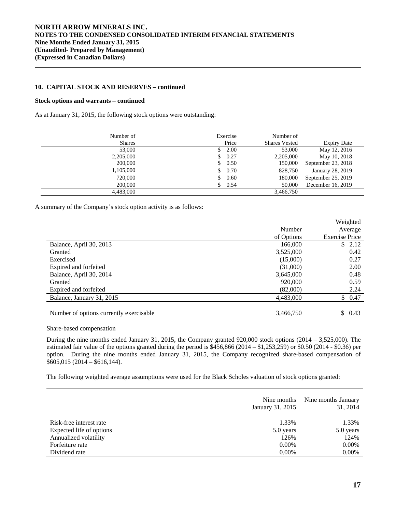## **10. CAPITAL STOCK AND RESERVES – continued**

### **Stock options and warrants – continued**

As at January 31, 2015, the following stock options were outstanding:

| Number of     | Exercise   | Number of            |                    |
|---------------|------------|----------------------|--------------------|
| <b>Shares</b> | Price      | <b>Shares Vested</b> | <b>Expiry Date</b> |
| 53,000        | 2.00       | 53,000               | May 12, 2016       |
| 2,205,000     | 0.27<br>S  | 2,205,000            | May 10, 2018       |
| 200,000       | 0.50<br>S  | 150,000              | September 23, 2018 |
| 1,105,000     | 0.70<br>\$ | 828,750              | January 28, 2019   |
| 720,000       | 0.60<br>\$ | 180,000              | September 25, 2019 |
| 200,000       | 0.54<br>S  | 50,000               | December 16, 2019  |
| 4,483,000     |            | 3,466,750            |                    |

A summary of the Company's stock option activity is as follows:

|                                         |            | Weighted              |
|-----------------------------------------|------------|-----------------------|
|                                         | Number     | Average               |
|                                         | of Options | <b>Exercise Price</b> |
| Balance, April 30, 2013                 | 166,000    | \$2.12                |
| Granted                                 | 3,525,000  | 0.42                  |
| Exercised                               | (15,000)   | 0.27                  |
| Expired and forfeited                   | (31,000)   | 2.00                  |
| Balance, April 30, 2014                 | 3,645,000  | 0.48                  |
| Granted                                 | 920,000    | 0.59                  |
| Expired and forfeited                   | (82,000)   | 2.24                  |
| Balance, January 31, 2015               | 4,483,000  | \$0.47                |
|                                         |            |                       |
| Number of options currently exercisable | 3,466,750  | \$<br>0.43            |

Share-based compensation

 During the nine months ended January 31, 2015, the Company granted 920,000 stock options (2014 – 3,525,000). The estimated fair value of the options granted during the period is \$456,866 (2014 – \$1,253,259) or \$0.50 (2014 - \$0.36) per option. During the nine months ended January 31, 2015, the Company recognized share-based compensation of \$605,015 (2014 – \$616,144).

The following weighted average assumptions were used for the Black Scholes valuation of stock options granted:

|                          | Nine months<br>January 31, 2015 | Nine months January<br>31, 2014 |
|--------------------------|---------------------------------|---------------------------------|
| Risk-free interest rate  | 1.33%                           | 1.33%                           |
| Expected life of options | 5.0 years                       | 5.0 years                       |
| Annualized volatility    | 126%                            | 124%                            |
| Forfeiture rate          | $0.00\%$                        | $0.00\%$                        |
| Dividend rate            | $0.00\%$                        | 0.00%                           |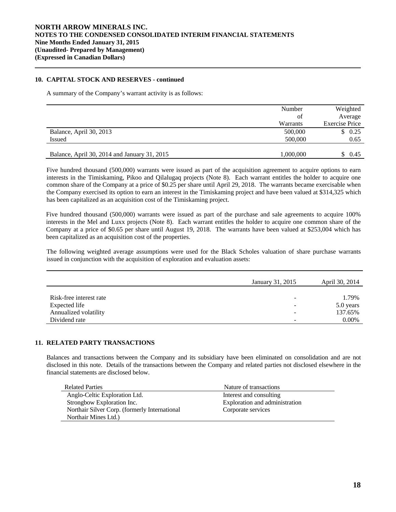# **10. CAPITAL STOCK AND RESERVES - continued**

A summary of the Company's warrant activity is as follows:

|                                              | Number    | Weighted              |
|----------------------------------------------|-----------|-----------------------|
|                                              | of        | Average               |
|                                              | Warrants  | <b>Exercise Price</b> |
| Balance, April 30, 2013                      | 500,000   | \$0.25                |
| <b>Issued</b>                                | 500,000   | 0.65                  |
|                                              |           |                       |
| Balance, April 30, 2014 and January 31, 2015 | 1,000,000 | 0.45                  |

Five hundred thousand (500,000) warrants were issued as part of the acquisition agreement to acquire options to earn interests in the Timiskaming, Pikoo and Qilalugaq projects (Note 8). Each warrant entitles the holder to acquire one common share of the Company at a price of \$0.25 per share until April 29, 2018. The warrants became exercisable when the Company exercised its option to earn an interest in the Timiskaming project and have been valued at \$314,325 which has been capitalized as an acquisition cost of the Timiskaming project.

Five hundred thousand (500,000) warrants were issued as part of the purchase and sale agreements to acquire 100% interests in the Mel and Luxx projects (Note 8). Each warrant entitles the holder to acquire one common share of the Company at a price of \$0.65 per share until August 19, 2018. The warrants have been valued at \$253,004 which has been capitalized as an acquisition cost of the properties.

The following weighted average assumptions were used for the Black Scholes valuation of share purchase warrants issued in conjunction with the acquisition of exploration and evaluation assets:

|                         | January 31, 2015         | April 30, 2014 |
|-------------------------|--------------------------|----------------|
|                         |                          |                |
| Risk-free interest rate | $\overline{\phantom{a}}$ | 1.79%          |
| Expected life           | -                        | 5.0 years      |
| Annualized volatility   | $\overline{\phantom{0}}$ | 137.65%        |
| Dividend rate           | -                        | $0.00\%$       |

# **11. RELATED PARTY TRANSACTIONS**

Balances and transactions between the Company and its subsidiary have been eliminated on consolidation and are not disclosed in this note. Details of the transactions between the Company and related parties not disclosed elsewhere in the financial statements are disclosed below.

| <b>Related Parties</b>                        | Nature of transactions         |
|-----------------------------------------------|--------------------------------|
| Anglo-Celtic Exploration Ltd.                 | Interest and consulting        |
| Strongbow Exploration Inc.                    | Exploration and administration |
| Northair Silver Corp. (formerly International | Corporate services             |
| Northair Mines Ltd.)                          |                                |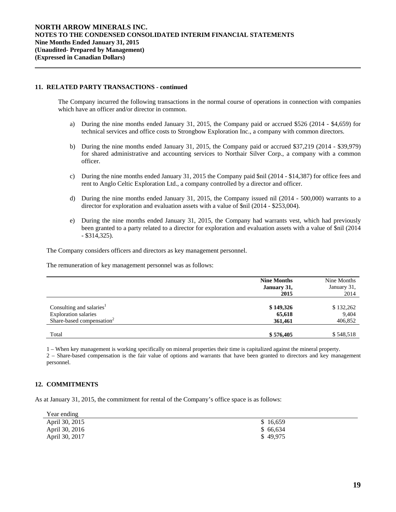## **11. RELATED PARTY TRANSACTIONS - continued**

The Company incurred the following transactions in the normal course of operations in connection with companies which have an officer and/or director in common.

- a) During the nine months ended January 31, 2015, the Company paid or accrued \$526 (2014 \$4,659) for technical services and office costs to Strongbow Exploration Inc., a company with common directors.
- b) During the nine months ended January 31, 2015, the Company paid or accrued \$37,219 (2014 \$39,979) for shared administrative and accounting services to Northair Silver Corp., a company with a common officer.
- c) During the nine months ended January 31, 2015 the Company paid \$nil (2014 \$14,387) for office fees and rent to Anglo Celtic Exploration Ltd., a company controlled by a director and officer.
- d) During the nine months ended January 31, 2015, the Company issued nil (2014 500,000) warrants to a director for exploration and evaluation assets with a value of \$nil (2014 - \$253,004).
- e) During the nine months ended January 31, 2015, the Company had warrants vest, which had previously been granted to a party related to a director for exploration and evaluation assets with a value of \$nil (2014 - \$314,325).

The Company considers officers and directors as key management personnel.

The remuneration of key management personnel was as follows:

|                                       | <b>Nine Months</b> | Nine Months |  |
|---------------------------------------|--------------------|-------------|--|
|                                       | January 31,        | January 31, |  |
|                                       | 2015               | 2014        |  |
|                                       |                    |             |  |
| Consulting and salaries <sup>1</sup>  | \$149,326          | \$132,262   |  |
| <b>Exploration salaries</b>           | 65,618             | 9,404       |  |
| Share-based compensation <sup>2</sup> | 361,461            | 406,852     |  |
|                                       |                    |             |  |
| Total                                 | \$576,405          | \$548,518   |  |

1 – When key management is working specifically on mineral properties their time is capitalized against the mineral property.

2 – Share-based compensation is the fair value of options and warrants that have been granted to directors and key management personnel.

# **12. COMMITMENTS**

As at January 31, 2015, the commitment for rental of the Company's office space is as follows:

| Year ending    |          |
|----------------|----------|
| April 30, 2015 | \$16,659 |
| April 30, 2016 | \$66.634 |
| April 30, 2017 | \$49,975 |